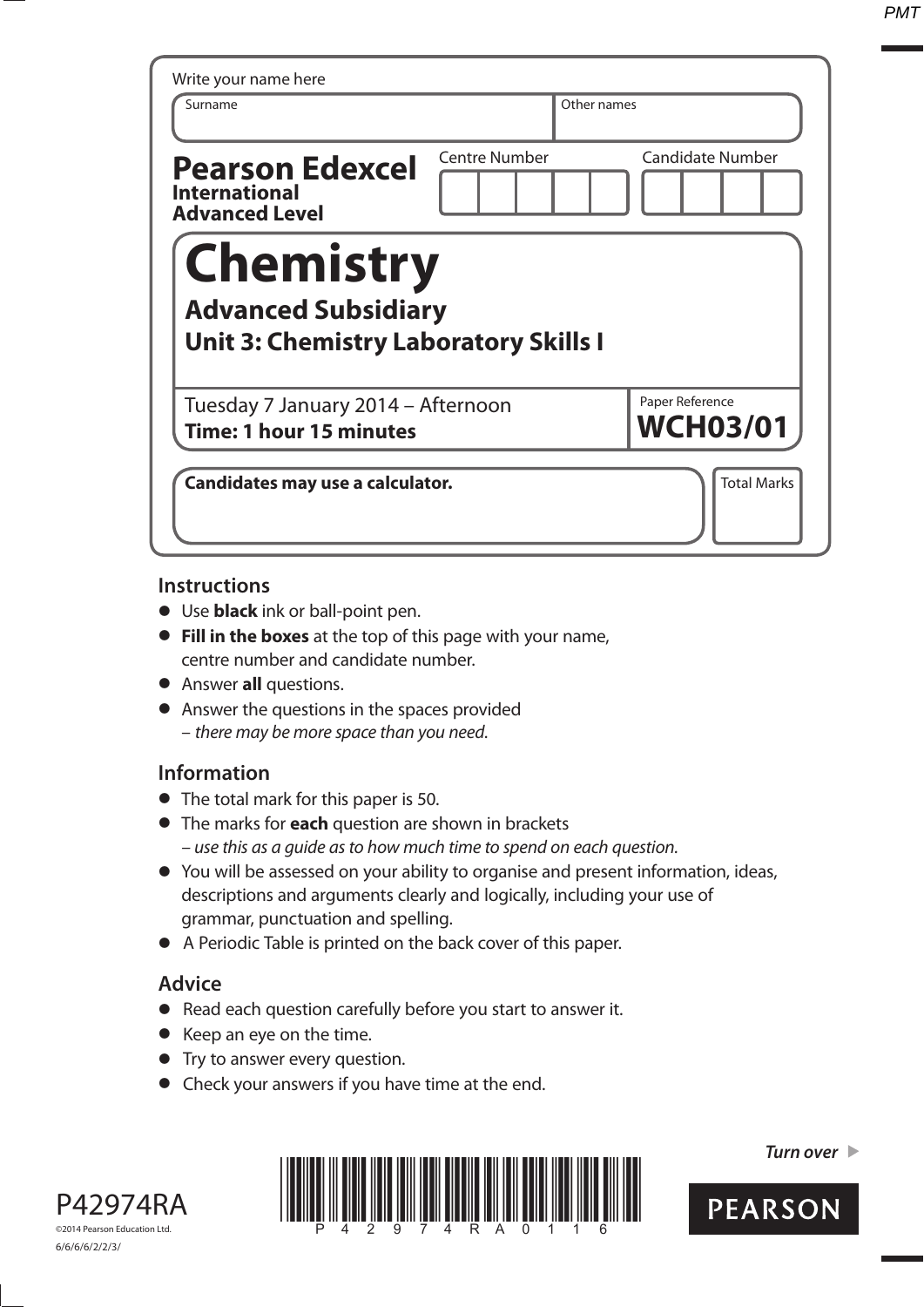*PMT*

| Write your name here<br>Surname                                                                |                      | Other names |                                    |  |  |  |  |  |  |  |
|------------------------------------------------------------------------------------------------|----------------------|-------------|------------------------------------|--|--|--|--|--|--|--|
| <b>Pearson Edexcel</b><br><b>International</b><br><b>Advanced Level</b>                        | <b>Centre Number</b> |             | <b>Candidate Number</b>            |  |  |  |  |  |  |  |
| <b>Chemistry</b><br><b>Advanced Subsidiary</b><br><b>Unit 3: Chemistry Laboratory Skills I</b> |                      |             |                                    |  |  |  |  |  |  |  |
| Tuesday 7 January 2014 - Afternoon<br>Time: 1 hour 15 minutes                                  |                      |             | Paper Reference<br><b>WCH03/01</b> |  |  |  |  |  |  |  |
| Candidates may use a calculator.                                                               |                      |             | <b>Total Marks</b>                 |  |  |  |  |  |  |  |

### **Instructions**

- **t** Use **black** ink or ball-point pen.
- **Fill in the boxes** at the top of this page with your name, centre number and candidate number.
- **•** Answer **all** questions.
- **•** Answer the questions in the spaces provided – there may be more space than you need.

## **Information**

- **•** The total mark for this paper is 50.
- **t** The marks for **each** question are shown in brackets – use this as a guide as to how much time to spend on each question.
- **t** You will be assessed on your ability to organise and present information, ideas, descriptions and arguments clearly and logically, including your use of grammar, punctuation and spelling.
- **t** A Periodic Table is printed on the back cover of this paper.

# **Advice**

- **t** Read each question carefully before you start to answer it.
- **•** Keep an eye on the time.
- **•** Try to answer every question.
- **•** Check your answers if you have time at the end.





*Turn over* 

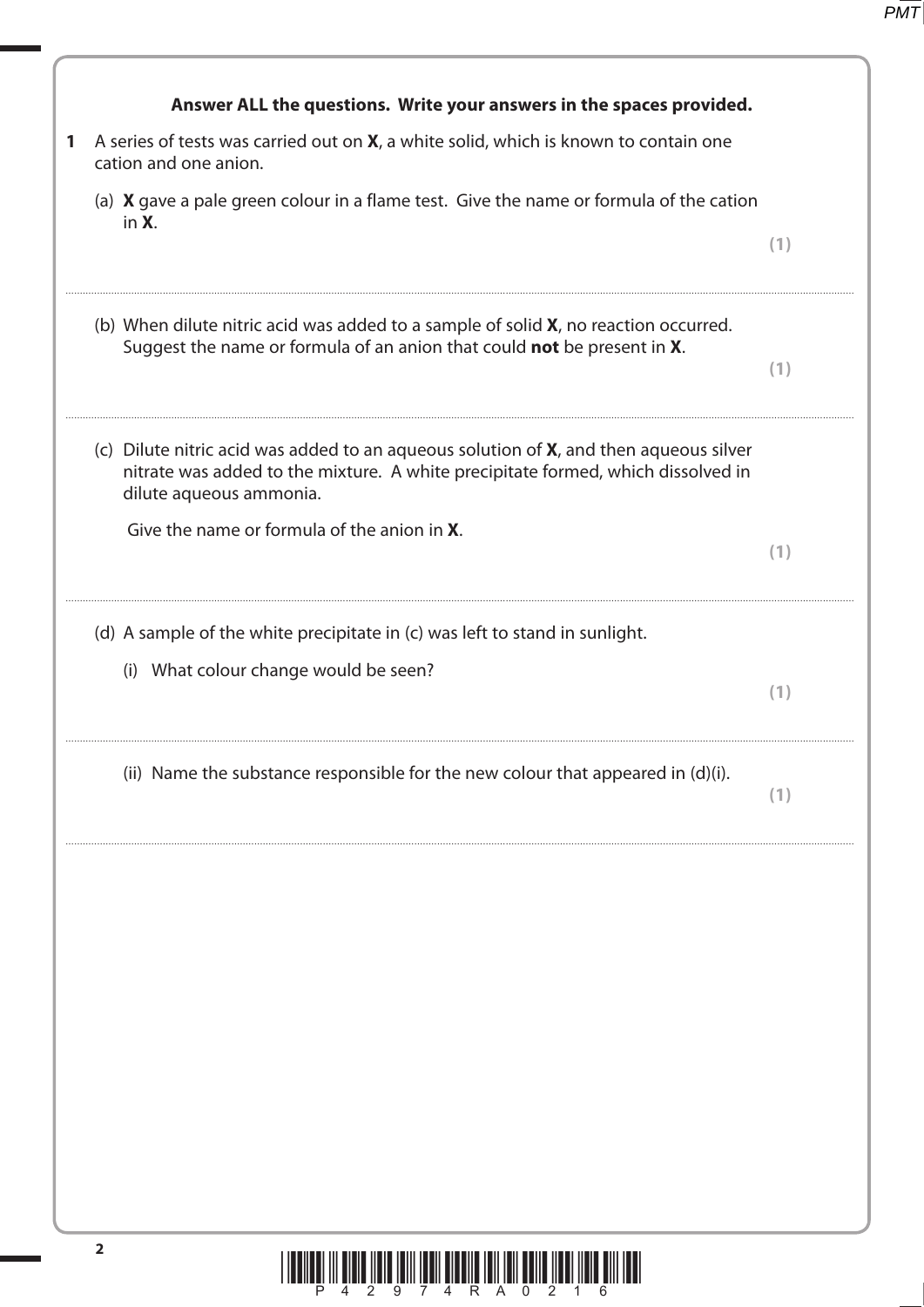|   | Answer ALL the questions. Write your answers in the spaces provided.                                                                                                                                    |     |
|---|---------------------------------------------------------------------------------------------------------------------------------------------------------------------------------------------------------|-----|
| 1 | A series of tests was carried out on $X$ , a white solid, which is known to contain one<br>cation and one anion.                                                                                        |     |
|   | (a) $\bm{X}$ gave a pale green colour in a flame test. Give the name or formula of the cation<br>in $X$ .                                                                                               | (1) |
|   | (b) When dilute nitric acid was added to a sample of solid $X$ , no reaction occurred.<br>Suggest the name or formula of an anion that could not be present in X.                                       | (1) |
|   | (c) Dilute nitric acid was added to an aqueous solution of $X$ , and then aqueous silver<br>nitrate was added to the mixture. A white precipitate formed, which dissolved in<br>dilute aqueous ammonia. |     |
|   | Give the name or formula of the anion in X.                                                                                                                                                             | (1) |
|   | (d) A sample of the white precipitate in (c) was left to stand in sunlight.                                                                                                                             |     |
|   | (i) What colour change would be seen?                                                                                                                                                                   | (1) |
|   | (ii) Name the substance responsible for the new colour that appeared in (d)(i).                                                                                                                         | (1) |
|   |                                                                                                                                                                                                         |     |
|   |                                                                                                                                                                                                         |     |
|   |                                                                                                                                                                                                         |     |
|   |                                                                                                                                                                                                         |     |
|   |                                                                                                                                                                                                         |     |

1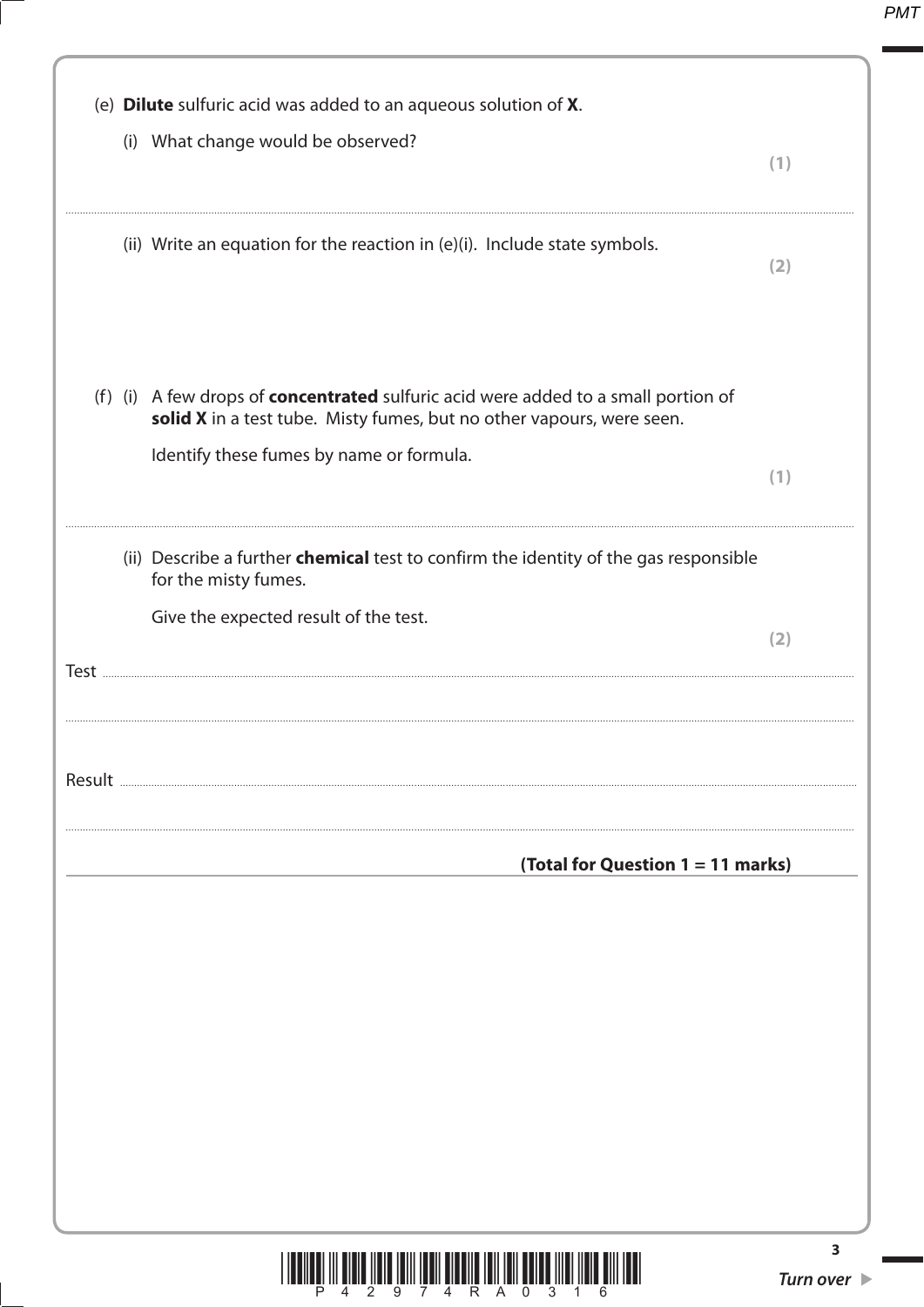| (e) Dilute sulfuric acid was added to an aqueous solution of X.                                                                                                    |                                   |
|--------------------------------------------------------------------------------------------------------------------------------------------------------------------|-----------------------------------|
| (i) What change would be observed?                                                                                                                                 | (1)                               |
| (ii) Write an equation for the reaction in (e)(i). Include state symbols.                                                                                          | (2)                               |
| (f) (i) A few drops of <b>concentrated</b> sulfuric acid were added to a small portion of<br>solid X in a test tube. Misty fumes, but no other vapours, were seen. |                                   |
| Identify these fumes by name or formula.                                                                                                                           | (1)                               |
| (ii) Describe a further <b>chemical</b> test to confirm the identity of the gas responsible<br>for the misty fumes.                                                |                                   |
| Give the expected result of the test.                                                                                                                              | (2)                               |
| <b>Test </b>                                                                                                                                                       |                                   |
|                                                                                                                                                                    |                                   |
|                                                                                                                                                                    | (Total for Question 1 = 11 marks) |
|                                                                                                                                                                    |                                   |
|                                                                                                                                                                    |                                   |
|                                                                                                                                                                    |                                   |
|                                                                                                                                                                    |                                   |
|                                                                                                                                                                    |                                   |



 $\overline{\mathbf{3}}$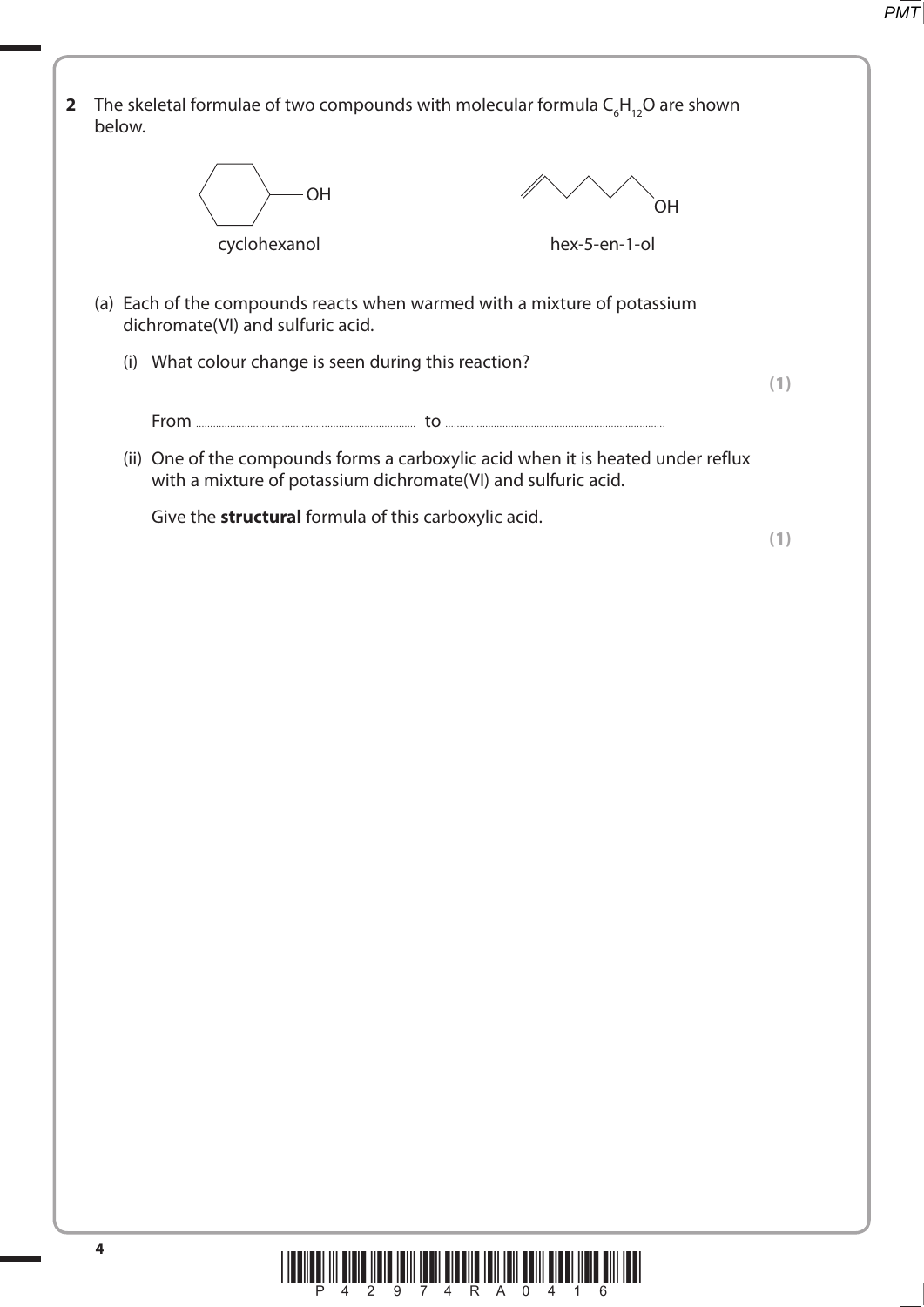*PMT*

| $\overline{\mathbf{2}}$ | below. | The skeletal formulae of two compounds with molecular formula $C_6H_{12}O$ are shown                                                              |     |
|-------------------------|--------|---------------------------------------------------------------------------------------------------------------------------------------------------|-----|
|                         |        | OH<br>OH                                                                                                                                          |     |
|                         |        | cyclohexanol<br>hex-5-en-1-ol                                                                                                                     |     |
|                         |        | (a) Each of the compounds reacts when warmed with a mixture of potassium<br>dichromate(VI) and sulfuric acid.                                     |     |
|                         |        | (i) What colour change is seen during this reaction?                                                                                              | (1) |
|                         |        |                                                                                                                                                   |     |
|                         |        | (ii) One of the compounds forms a carboxylic acid when it is heated under reflux<br>with a mixture of potassium dichromate(VI) and sulfuric acid. |     |
|                         |        | Give the structural formula of this carboxylic acid.                                                                                              | (1) |
|                         |        |                                                                                                                                                   |     |
|                         |        |                                                                                                                                                   |     |
|                         |        |                                                                                                                                                   |     |
|                         |        |                                                                                                                                                   |     |
|                         |        |                                                                                                                                                   |     |
|                         |        |                                                                                                                                                   |     |
|                         |        |                                                                                                                                                   |     |
|                         |        |                                                                                                                                                   |     |
|                         |        |                                                                                                                                                   |     |
|                         |        |                                                                                                                                                   |     |
|                         |        |                                                                                                                                                   |     |
|                         |        |                                                                                                                                                   |     |
|                         |        |                                                                                                                                                   |     |
|                         |        |                                                                                                                                                   |     |
|                         |        |                                                                                                                                                   |     |
|                         | 4      |                                                                                                                                                   |     |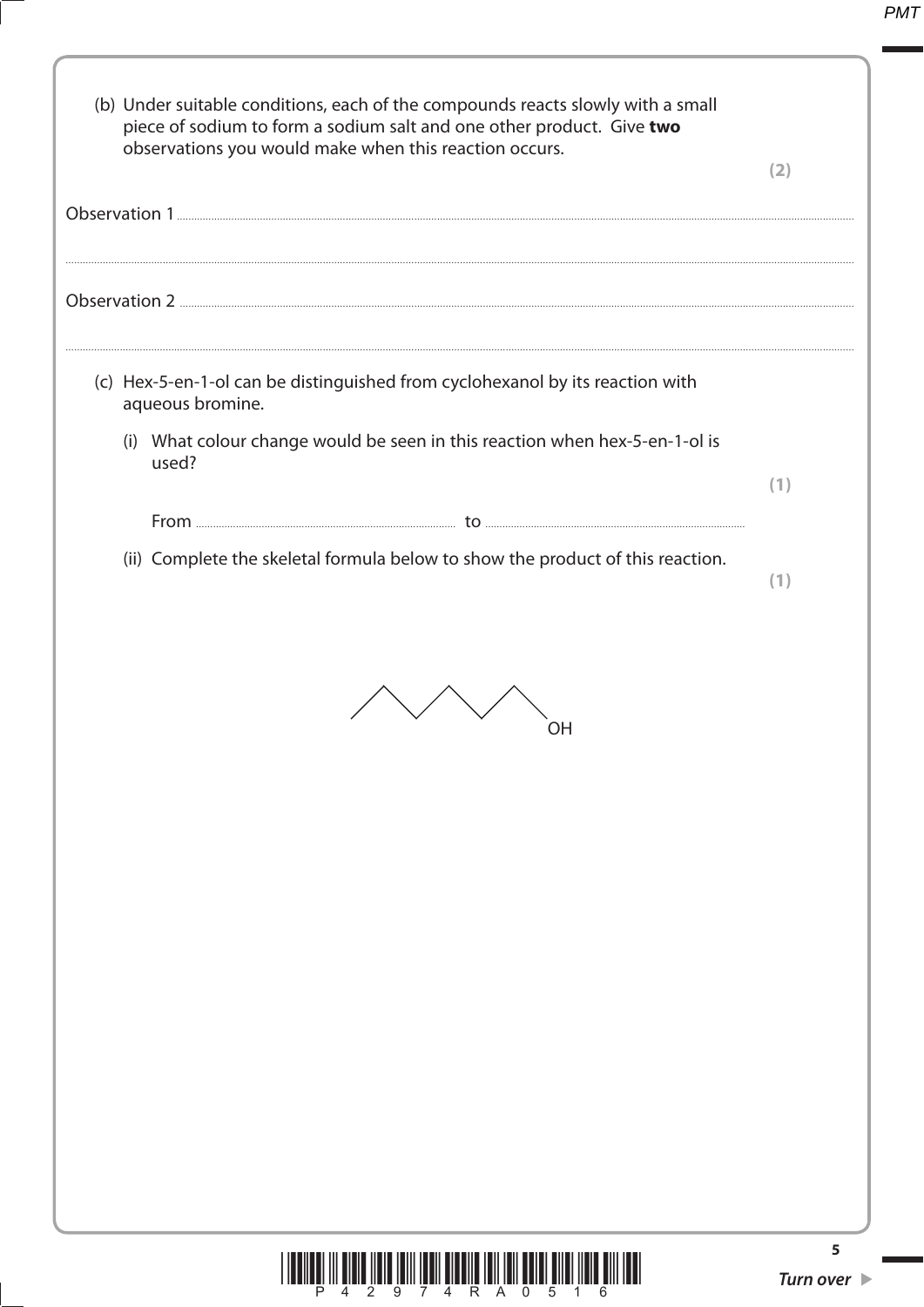| (b) Under suitable conditions, each of the compounds reacts slowly with a small<br>piece of sodium to form a sodium salt and one other product. Give two<br>observations you would make when this reaction occurs. |                                 |  |  |  |  |  |  |  |  |
|--------------------------------------------------------------------------------------------------------------------------------------------------------------------------------------------------------------------|---------------------------------|--|--|--|--|--|--|--|--|
|                                                                                                                                                                                                                    | (2)                             |  |  |  |  |  |  |  |  |
|                                                                                                                                                                                                                    |                                 |  |  |  |  |  |  |  |  |
|                                                                                                                                                                                                                    |                                 |  |  |  |  |  |  |  |  |
|                                                                                                                                                                                                                    |                                 |  |  |  |  |  |  |  |  |
| (c) Hex-5-en-1-ol can be distinguished from cyclohexanol by its reaction with<br>aqueous bromine.                                                                                                                  |                                 |  |  |  |  |  |  |  |  |
| (i) What colour change would be seen in this reaction when hex-5-en-1-ol is<br>used?                                                                                                                               |                                 |  |  |  |  |  |  |  |  |
|                                                                                                                                                                                                                    | (1)                             |  |  |  |  |  |  |  |  |
|                                                                                                                                                                                                                    |                                 |  |  |  |  |  |  |  |  |
| (ii) Complete the skeletal formula below to show the product of this reaction.                                                                                                                                     | (1)                             |  |  |  |  |  |  |  |  |
|                                                                                                                                                                                                                    |                                 |  |  |  |  |  |  |  |  |
|                                                                                                                                                                                                                    |                                 |  |  |  |  |  |  |  |  |
|                                                                                                                                                                                                                    |                                 |  |  |  |  |  |  |  |  |
| OΗ                                                                                                                                                                                                                 |                                 |  |  |  |  |  |  |  |  |
|                                                                                                                                                                                                                    |                                 |  |  |  |  |  |  |  |  |
|                                                                                                                                                                                                                    |                                 |  |  |  |  |  |  |  |  |
|                                                                                                                                                                                                                    |                                 |  |  |  |  |  |  |  |  |
|                                                                                                                                                                                                                    |                                 |  |  |  |  |  |  |  |  |
|                                                                                                                                                                                                                    |                                 |  |  |  |  |  |  |  |  |
|                                                                                                                                                                                                                    |                                 |  |  |  |  |  |  |  |  |
|                                                                                                                                                                                                                    |                                 |  |  |  |  |  |  |  |  |
|                                                                                                                                                                                                                    |                                 |  |  |  |  |  |  |  |  |
|                                                                                                                                                                                                                    |                                 |  |  |  |  |  |  |  |  |
|                                                                                                                                                                                                                    |                                 |  |  |  |  |  |  |  |  |
|                                                                                                                                                                                                                    |                                 |  |  |  |  |  |  |  |  |
| <u>I III AN DI III AN DI III AN DI III AN DI III AN DI AN DI AN DI III AN DI AN DI AN DI AN DI AN DI AN DI AN DI</u>                                                                                               | 5                               |  |  |  |  |  |  |  |  |
|                                                                                                                                                                                                                    | Turn over $\blacktriangleright$ |  |  |  |  |  |  |  |  |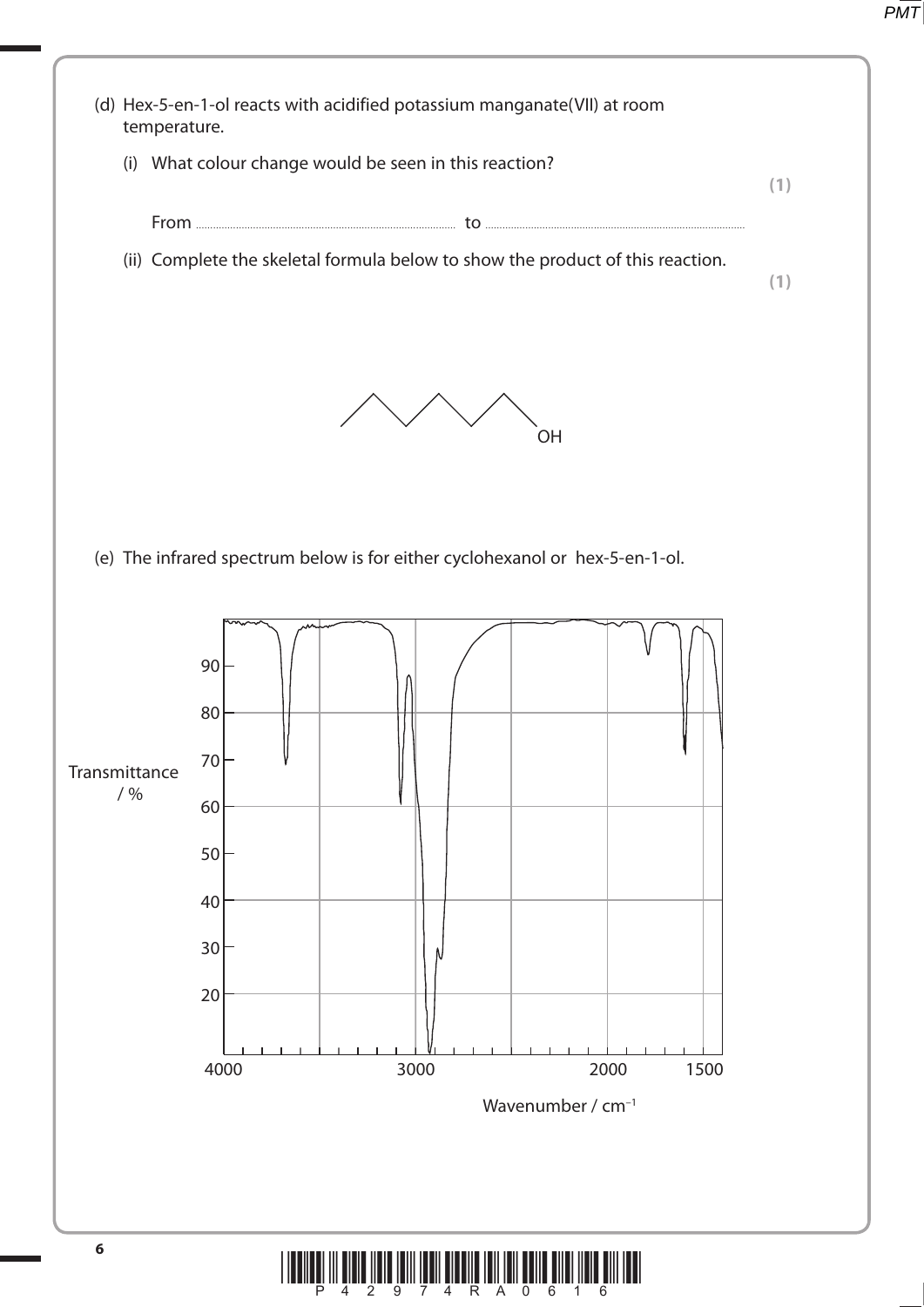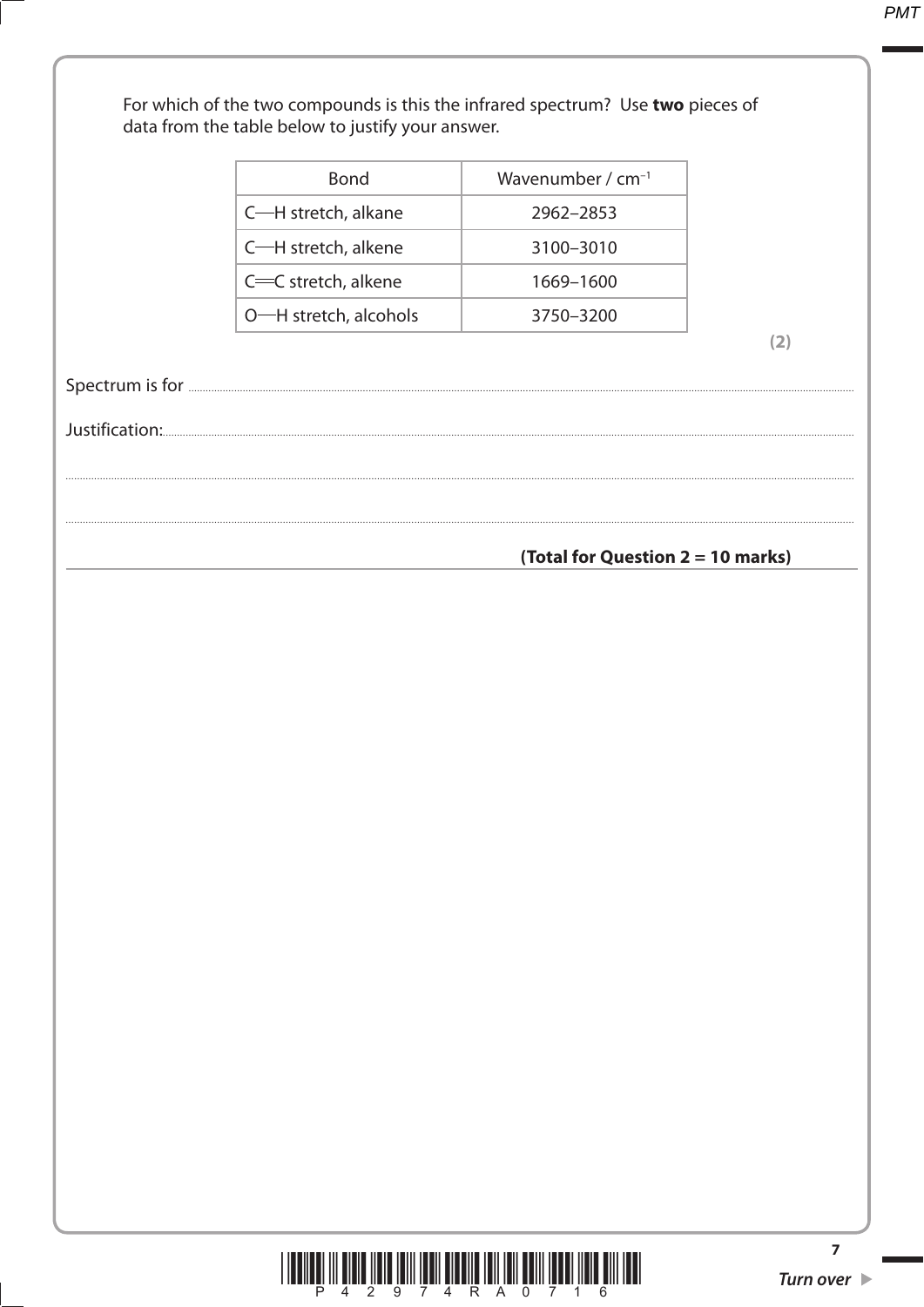| Bond                  | Wavenumber / cm <sup>-1</sup>     |     |
|-----------------------|-----------------------------------|-----|
| C-H stretch, alkane   | 2962-2853                         |     |
| C-H stretch, alkene   | 3100-3010                         |     |
| C=C stretch, alkene   | 1669-1600                         |     |
| O-H stretch, alcohols | 3750-3200                         |     |
|                       |                                   | (2) |
|                       |                                   |     |
|                       |                                   |     |
|                       |                                   |     |
|                       |                                   |     |
|                       |                                   |     |
|                       | (Total for Question 2 = 10 marks) |     |
|                       |                                   |     |
|                       |                                   |     |
|                       |                                   |     |
|                       |                                   |     |
|                       |                                   |     |
|                       |                                   |     |
|                       |                                   |     |
|                       |                                   |     |
|                       |                                   |     |
|                       |                                   |     |
|                       |                                   |     |
|                       |                                   |     |
|                       |                                   |     |
|                       |                                   |     |
|                       |                                   |     |
|                       |                                   |     |
|                       |                                   |     |
|                       |                                   |     |
|                       |                                   |     |
|                       |                                   |     |
|                       |                                   |     |
|                       |                                   |     |
|                       |                                   |     |
|                       |                                   |     |
|                       |                                   |     |
|                       |                                   |     |
|                       |                                   |     |
|                       |                                   |     |
|                       |                                   |     |
|                       |                                   |     |
|                       |                                   |     |
|                       |                                   |     |
|                       |                                   |     |
|                       |                                   |     |



 $\overline{7}$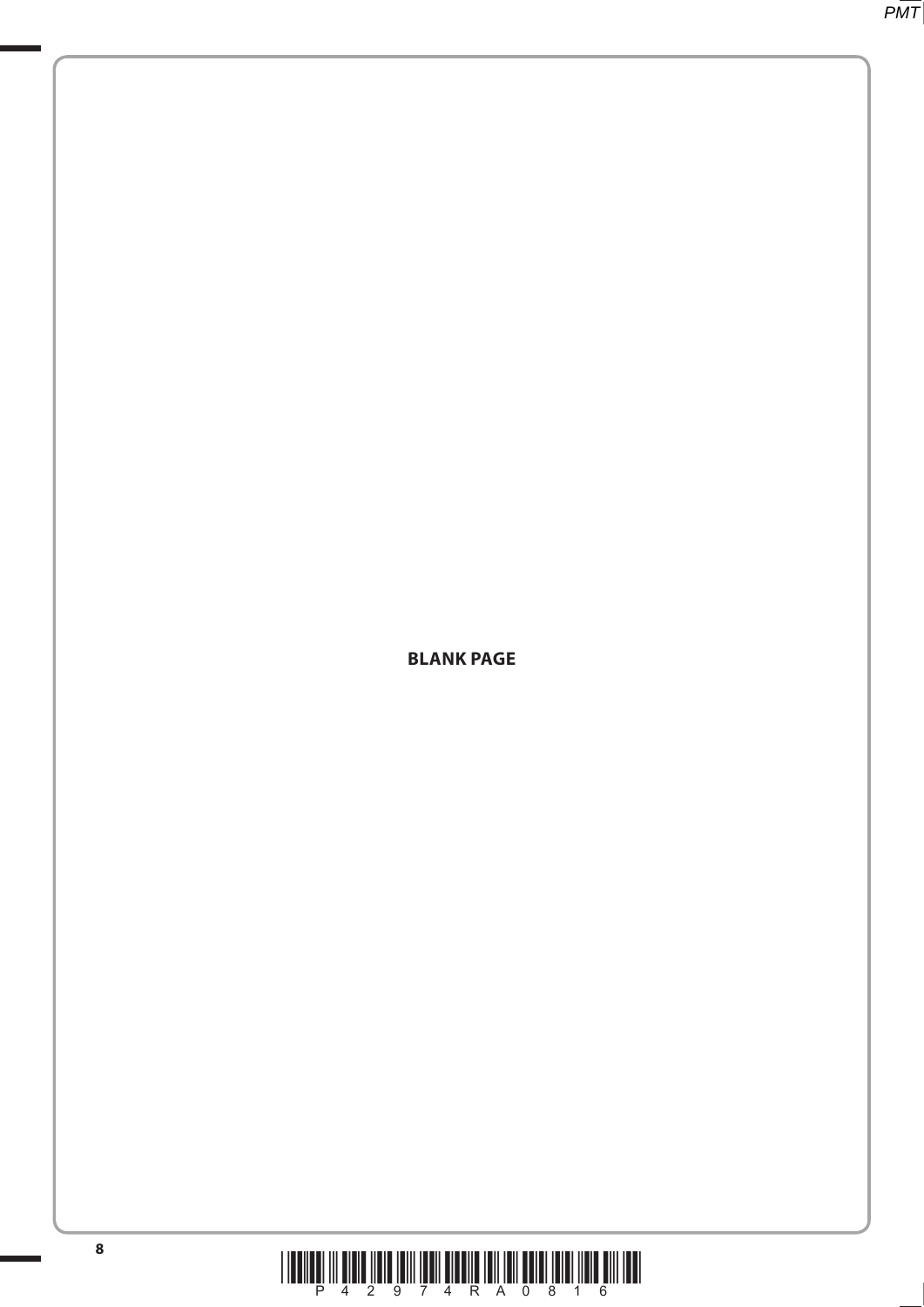



**BLANK PAGE**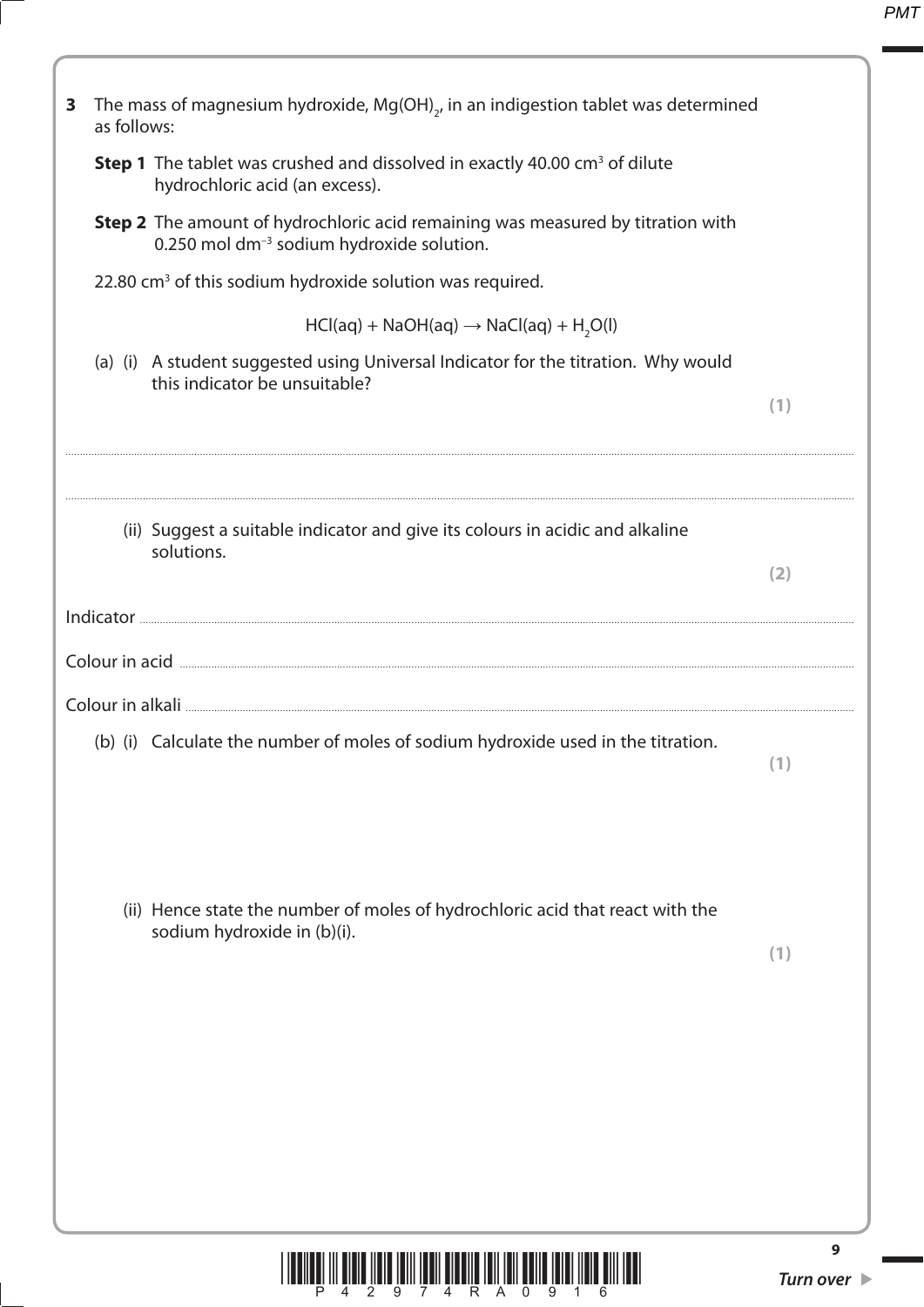| 3 | The mass of magnesium hydroxide, $Mg(OH)_{2}$ , in an indigestion tablet was determined<br>as follows: |                                                                                                                                                 |     |  |  |  |  |  |  |  |  |  |
|---|--------------------------------------------------------------------------------------------------------|-------------------------------------------------------------------------------------------------------------------------------------------------|-----|--|--|--|--|--|--|--|--|--|
|   | <b>Step 1</b> The tablet was crushed and dissolved in exactly 40.00 $\text{cm}^3$ of dilute            |                                                                                                                                                 |     |  |  |  |  |  |  |  |  |  |
|   |                                                                                                        | <b>Step 2</b> The amount of hydrochloric acid remaining was measured by titration with<br>0.250 mol dm <sup>-3</sup> sodium hydroxide solution. |     |  |  |  |  |  |  |  |  |  |
|   |                                                                                                        | 22.80 cm <sup>3</sup> of this sodium hydroxide solution was required.                                                                           |     |  |  |  |  |  |  |  |  |  |
|   |                                                                                                        | $HCl(aq) + NaOH(aq) \rightarrow NaCl(aq) + H2O(l)$                                                                                              |     |  |  |  |  |  |  |  |  |  |
|   |                                                                                                        | (a) (i) A student suggested using Universal Indicator for the titration. Why would<br>this indicator be unsuitable?                             |     |  |  |  |  |  |  |  |  |  |
|   |                                                                                                        |                                                                                                                                                 | (1) |  |  |  |  |  |  |  |  |  |
|   |                                                                                                        |                                                                                                                                                 |     |  |  |  |  |  |  |  |  |  |
|   |                                                                                                        |                                                                                                                                                 |     |  |  |  |  |  |  |  |  |  |
|   |                                                                                                        | (ii) Suggest a suitable indicator and give its colours in acidic and alkaline<br>solutions.                                                     |     |  |  |  |  |  |  |  |  |  |
|   |                                                                                                        |                                                                                                                                                 | (2) |  |  |  |  |  |  |  |  |  |
|   |                                                                                                        |                                                                                                                                                 |     |  |  |  |  |  |  |  |  |  |
|   |                                                                                                        |                                                                                                                                                 |     |  |  |  |  |  |  |  |  |  |
|   |                                                                                                        |                                                                                                                                                 |     |  |  |  |  |  |  |  |  |  |
|   |                                                                                                        | (b) (i) Calculate the number of moles of sodium hydroxide used in the titration.                                                                |     |  |  |  |  |  |  |  |  |  |
|   |                                                                                                        |                                                                                                                                                 | (1) |  |  |  |  |  |  |  |  |  |
|   |                                                                                                        |                                                                                                                                                 |     |  |  |  |  |  |  |  |  |  |
|   |                                                                                                        |                                                                                                                                                 |     |  |  |  |  |  |  |  |  |  |
|   |                                                                                                        | (ii) Hence state the number of moles of hydrochloric acid that react with the                                                                   |     |  |  |  |  |  |  |  |  |  |
|   |                                                                                                        | sodium hydroxide in (b)(i).                                                                                                                     | (1) |  |  |  |  |  |  |  |  |  |
|   |                                                                                                        |                                                                                                                                                 |     |  |  |  |  |  |  |  |  |  |
|   |                                                                                                        |                                                                                                                                                 |     |  |  |  |  |  |  |  |  |  |
|   |                                                                                                        |                                                                                                                                                 |     |  |  |  |  |  |  |  |  |  |
|   |                                                                                                        |                                                                                                                                                 |     |  |  |  |  |  |  |  |  |  |
|   |                                                                                                        |                                                                                                                                                 |     |  |  |  |  |  |  |  |  |  |
|   |                                                                                                        |                                                                                                                                                 |     |  |  |  |  |  |  |  |  |  |
|   |                                                                                                        |                                                                                                                                                 | 9   |  |  |  |  |  |  |  |  |  |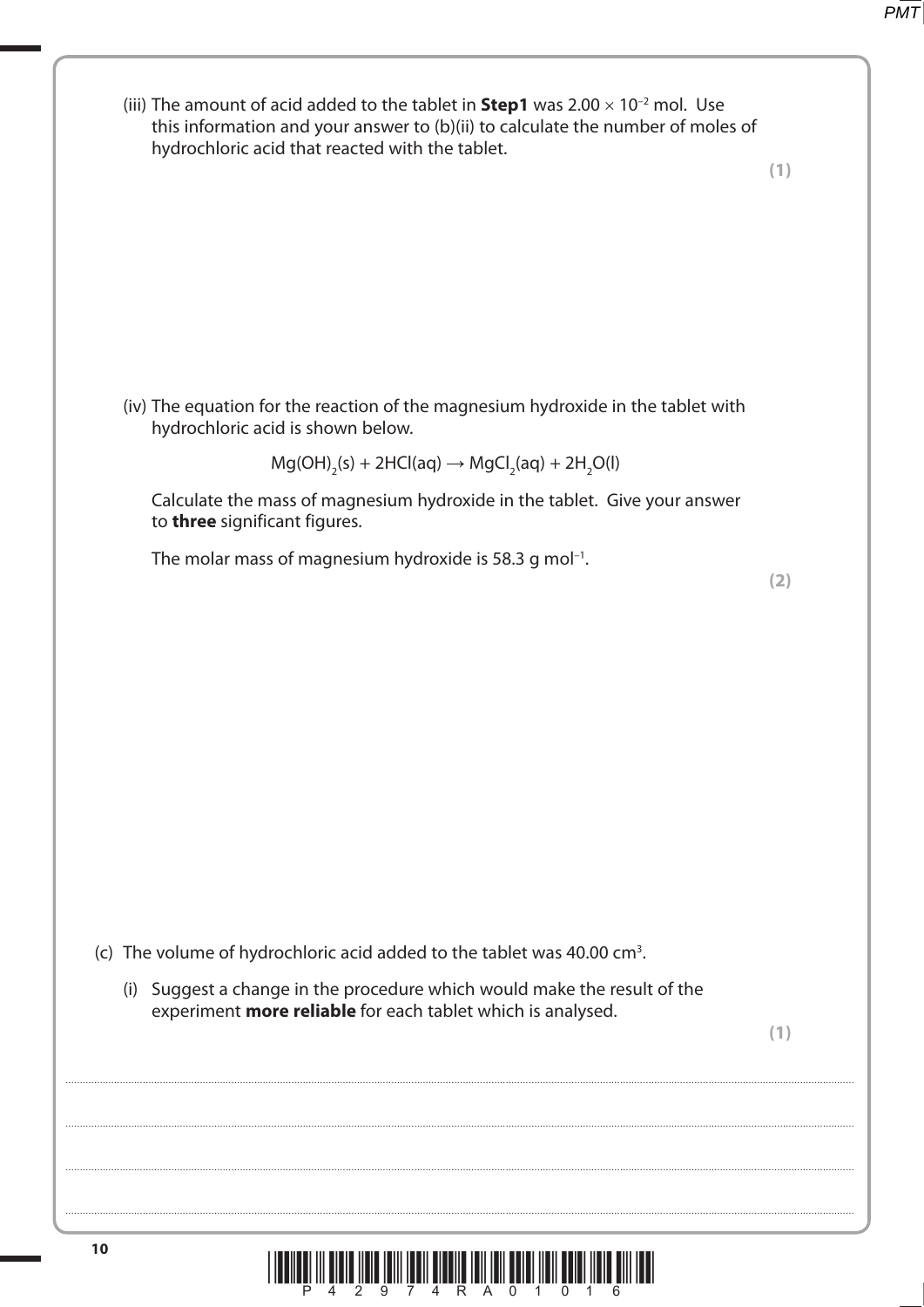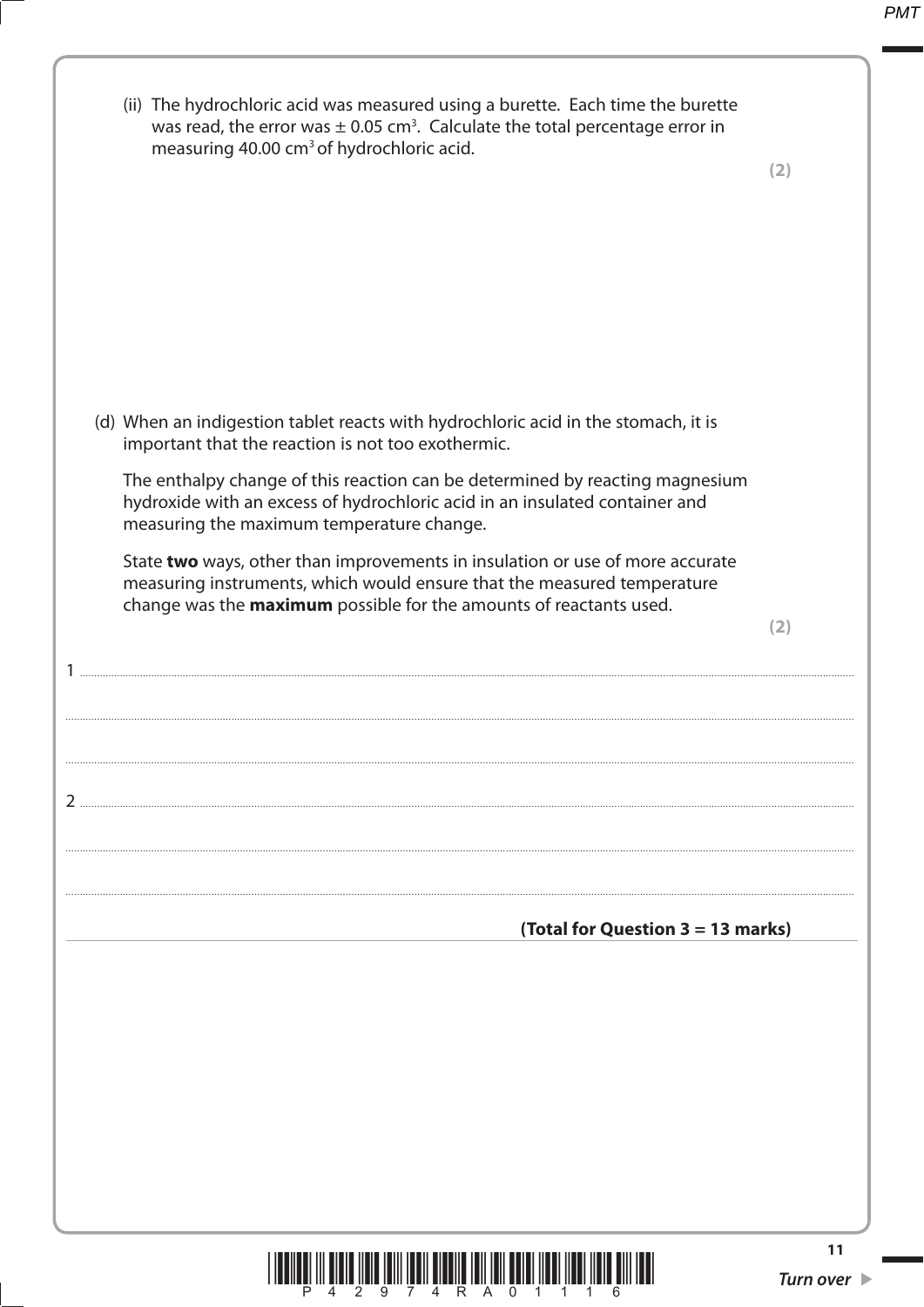| (ii) The hydrochloric acid was measured using a burette. Each time the burette<br>was read, the error was $\pm$ 0.05 cm <sup>3</sup> . Calculate the total percentage error in<br>measuring 40.00 cm <sup>3</sup> of hydrochloric acid.                                                                                                                                                                                                                                                                                                                                                       | (2) |
|-----------------------------------------------------------------------------------------------------------------------------------------------------------------------------------------------------------------------------------------------------------------------------------------------------------------------------------------------------------------------------------------------------------------------------------------------------------------------------------------------------------------------------------------------------------------------------------------------|-----|
| (d) When an indigestion tablet reacts with hydrochloric acid in the stomach, it is<br>important that the reaction is not too exothermic.<br>The enthalpy change of this reaction can be determined by reacting magnesium<br>hydroxide with an excess of hydrochloric acid in an insulated container and<br>measuring the maximum temperature change.<br>State two ways, other than improvements in insulation or use of more accurate<br>measuring instruments, which would ensure that the measured temperature<br>change was the <b>maximum</b> possible for the amounts of reactants used. | (2) |
| (Total for Question 3 = 13 marks)                                                                                                                                                                                                                                                                                                                                                                                                                                                                                                                                                             |     |
|                                                                                                                                                                                                                                                                                                                                                                                                                                                                                                                                                                                               |     |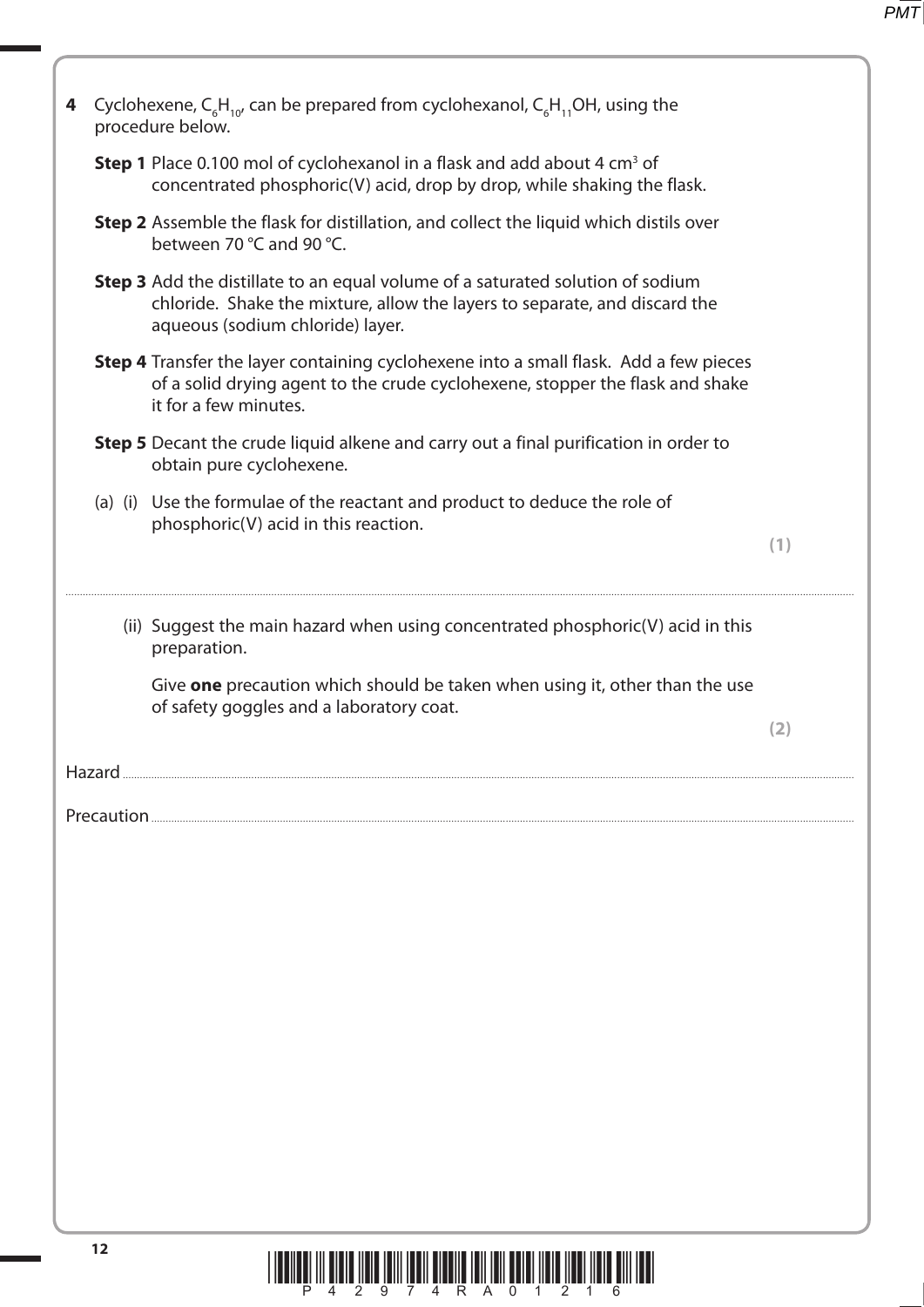| 4 |            | Cyclohexene, $C_6H_{10}$ , can be prepared from cyclohexanol, $C_6H_{11}OH$ , using the<br>procedure below.                                                                                             |     |
|---|------------|---------------------------------------------------------------------------------------------------------------------------------------------------------------------------------------------------------|-----|
|   |            | <b>Step 1</b> Place 0.100 mol of cyclohexanol in a flask and add about 4 $cm3$ of<br>concentrated phosphoric(V) acid, drop by drop, while shaking the flask.                                            |     |
|   |            | <b>Step 2</b> Assemble the flask for distillation, and collect the liquid which distils over<br>between 70 °C and 90 °C.                                                                                |     |
|   |            | <b>Step 3</b> Add the distillate to an equal volume of a saturated solution of sodium<br>chloride. Shake the mixture, allow the layers to separate, and discard the<br>aqueous (sodium chloride) layer. |     |
|   |            | <b>Step 4</b> Transfer the layer containing cyclohexene into a small flask. Add a few pieces<br>of a solid drying agent to the crude cyclohexene, stopper the flask and shake<br>it for a few minutes.  |     |
|   |            | <b>Step 5</b> Decant the crude liquid alkene and carry out a final purification in order to<br>obtain pure cyclohexene.                                                                                 |     |
|   |            | (a) (i) Use the formulae of the reactant and product to deduce the role of<br>phosphoric(V) acid in this reaction.                                                                                      |     |
|   |            |                                                                                                                                                                                                         | (1) |
|   |            | (ii) Suggest the main hazard when using concentrated phosphoric(V) acid in this<br>preparation.                                                                                                         |     |
|   |            | Give one precaution which should be taken when using it, other than the use<br>of safety goggles and a laboratory coat.                                                                                 |     |
|   | Hazard     |                                                                                                                                                                                                         | (2) |
|   | Precaution |                                                                                                                                                                                                         |     |
|   |            |                                                                                                                                                                                                         |     |
|   |            |                                                                                                                                                                                                         |     |
|   |            |                                                                                                                                                                                                         |     |
|   |            |                                                                                                                                                                                                         |     |
|   |            |                                                                                                                                                                                                         |     |
|   |            |                                                                                                                                                                                                         |     |
|   |            |                                                                                                                                                                                                         |     |
|   |            |                                                                                                                                                                                                         |     |
|   | 12         | <u> Al Tollo Antonio al Italia del con</u>                                                                                                                                                              |     |
|   |            |                                                                                                                                                                                                         |     |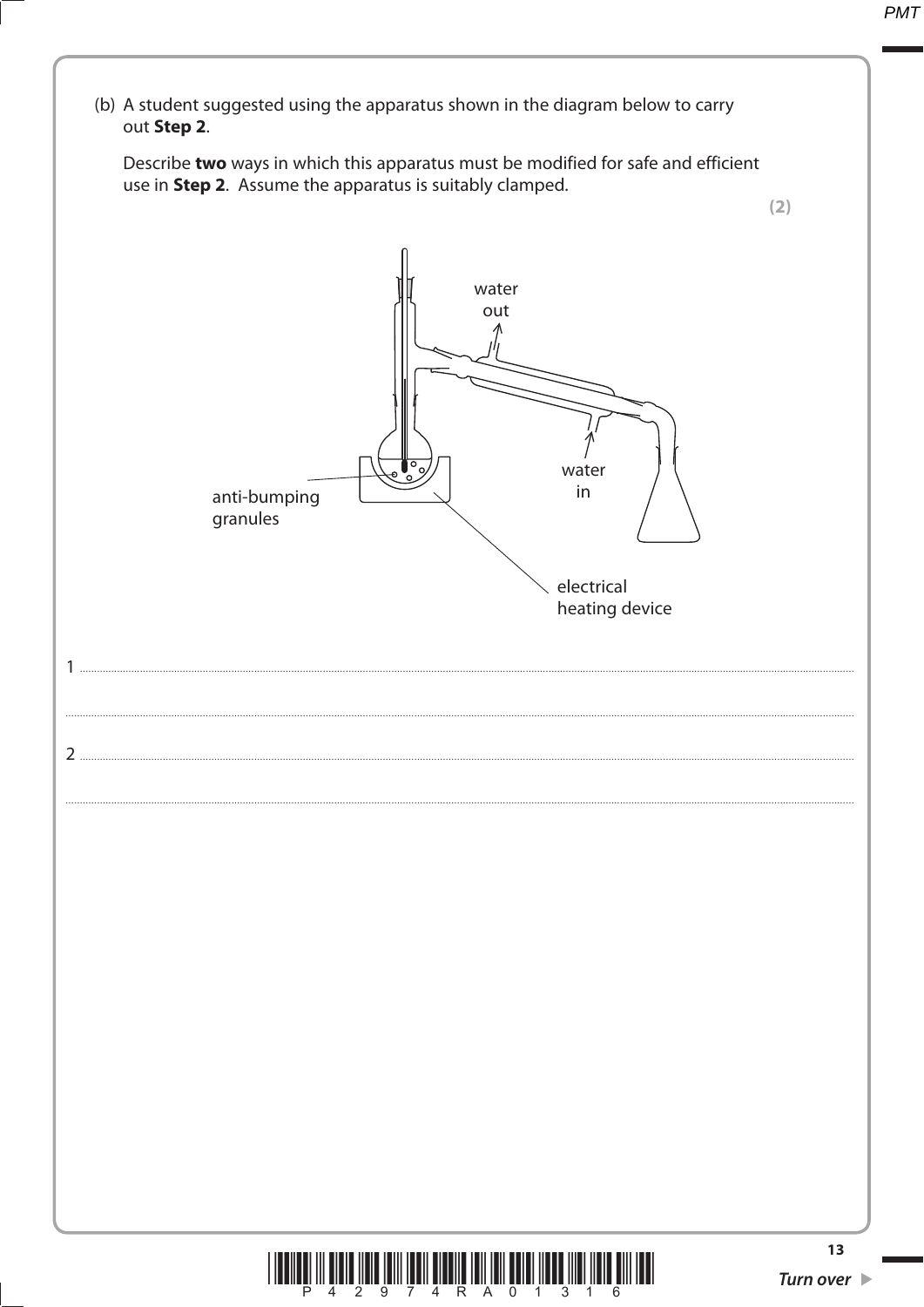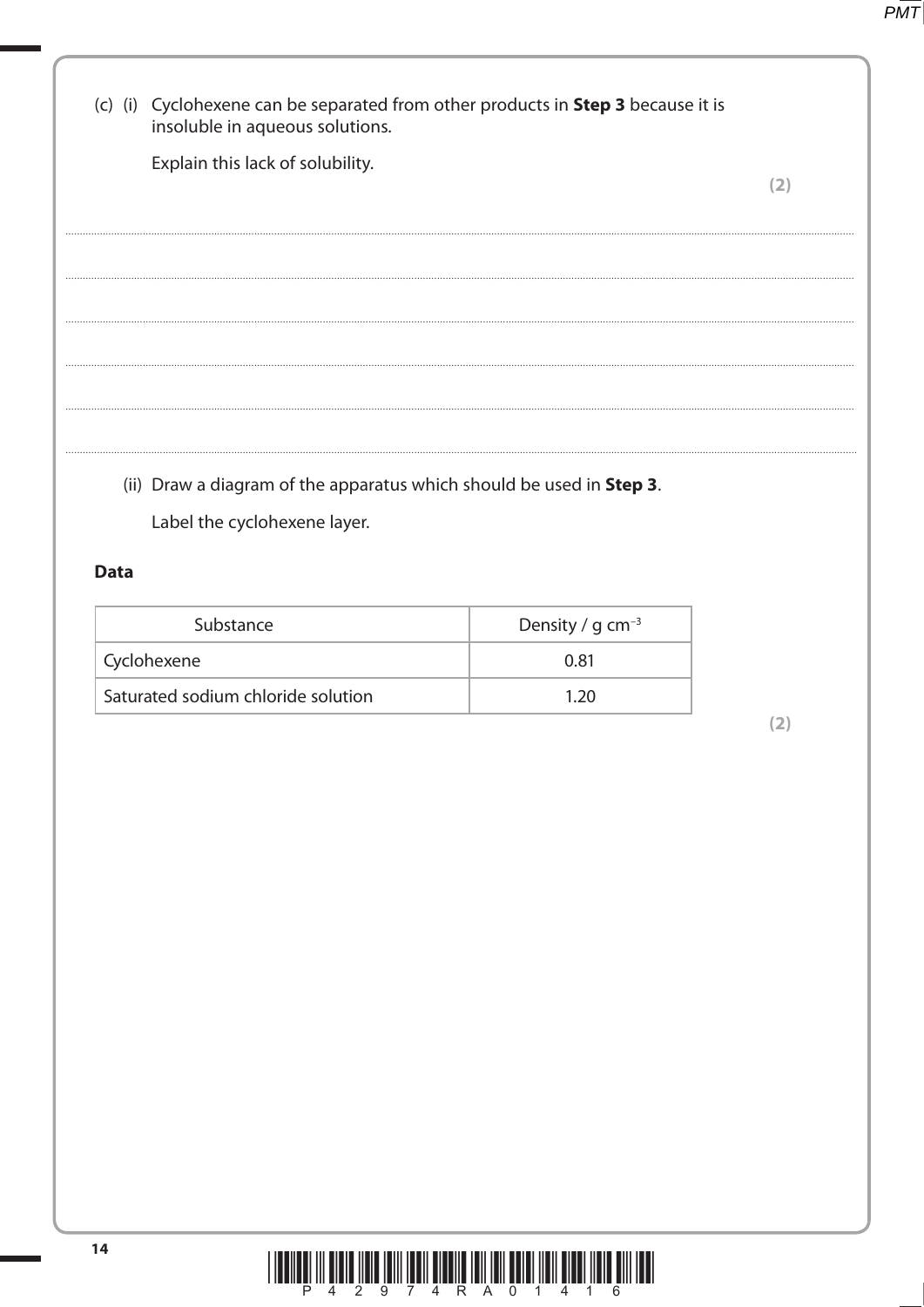# (c) (i) Cyclohexene can be separated from other products in Step 3 because it is insoluble in aqueous solutions. Explain this lack of solubility.

 $(2)$ 

# (ii) Draw a diagram of the apparatus which should be used in Step 3. Label the cyclohexene layer.

### **Data**

| Substance                          | Density / g $cm^{-3}$ |  |  |  |  |  |  |
|------------------------------------|-----------------------|--|--|--|--|--|--|
| Cyclohexene                        | 0.81                  |  |  |  |  |  |  |
| Saturated sodium chloride solution | 1.20                  |  |  |  |  |  |  |

 $(2)$ 

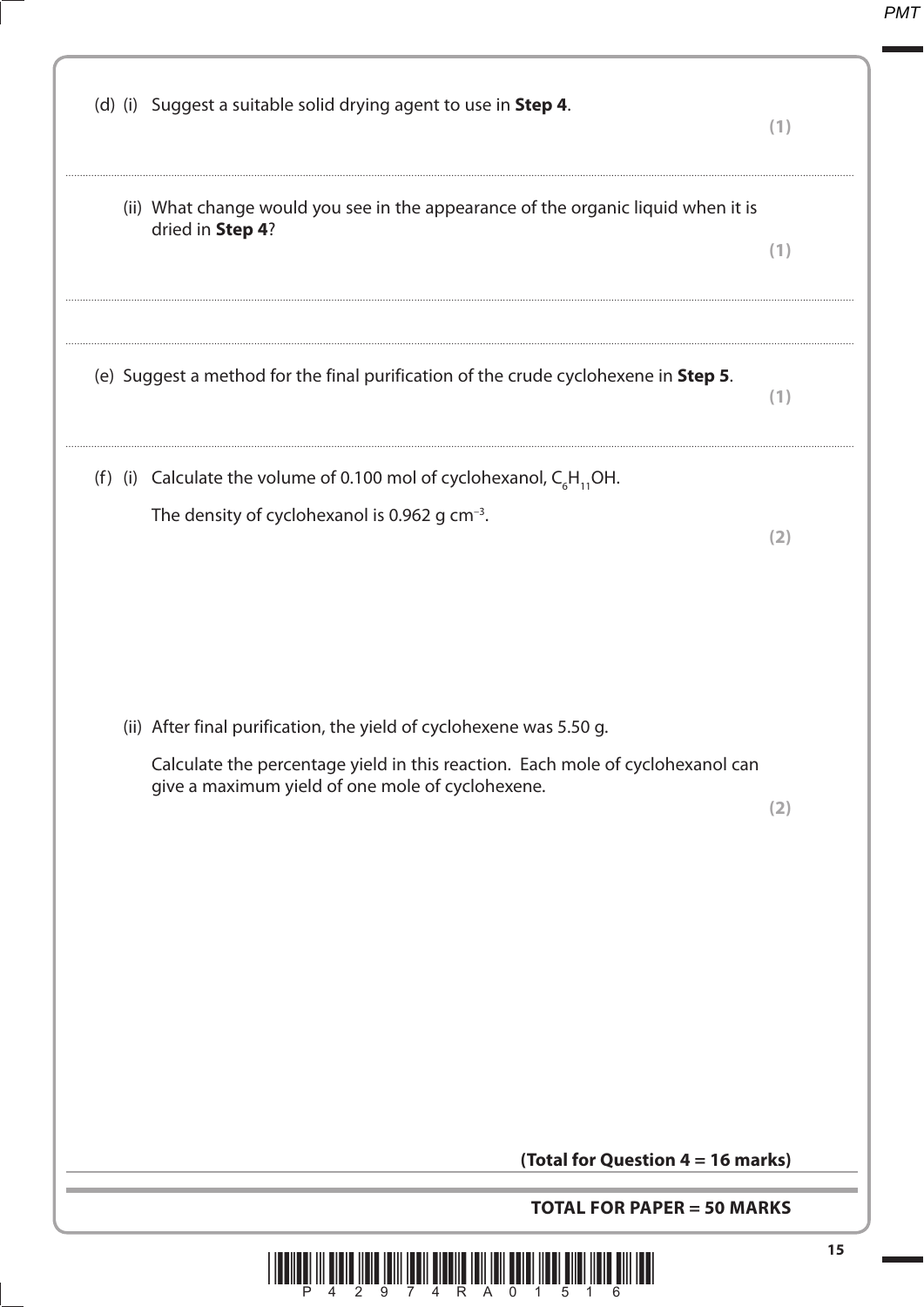*PMT*

| (d) (i) Suggest a suitable solid drying agent to use in Step 4.                                                                                                                                           | (1) |
|-----------------------------------------------------------------------------------------------------------------------------------------------------------------------------------------------------------|-----|
| (ii) What change would you see in the appearance of the organic liquid when it is<br>dried in Step 4?                                                                                                     | (1) |
| (e) Suggest a method for the final purification of the crude cyclohexene in Step 5.                                                                                                                       | (1) |
| (f) (i) Calculate the volume of 0.100 mol of cyclohexanol, $C_6H_{11}OH$ .<br>The density of cyclohexanol is 0.962 g cm $^{-3}$ .                                                                         | (2) |
| (ii) After final purification, the yield of cyclohexene was 5.50 g.<br>Calculate the percentage yield in this reaction. Each mole of cyclohexanol can<br>give a maximum yield of one mole of cyclohexene. | (2) |
| (Total for Question 4 = 16 marks)<br><b>TOTAL FOR PAPER = 50 MARKS</b>                                                                                                                                    |     |